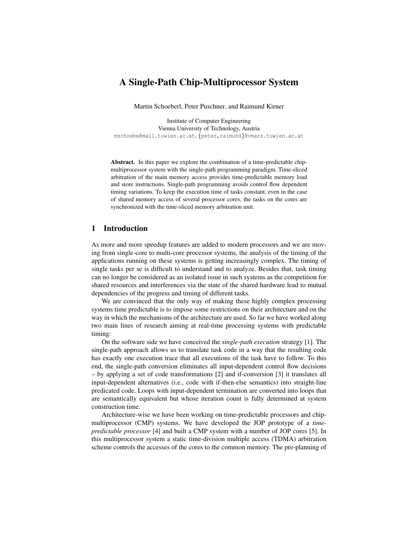# A Single-Path Chip-Multiprocessor System

Martin Schoeberl, Peter Puschner, and Raimund Kirner

Institute of Computer Engineering Vienna University of Technology, Austria mschoebe@mail.tuwien.ac.at, {peter,raimund}@vmars.tuwien.ac.at

Abstract. In this paper we explore the combination of a time-predictable chipmultiprocessor system with the single-path programming paradigm. Time-sliced arbitration of the main memory access provides time-predictable memory load and store instructions. Single-path programming avoids control flow dependent timing variations. To keep the execution time of tasks constant, even in the case of shared memory access of several processor cores, the tasks on the cores are synchronized with the time-sliced memory arbitration unit.

# 1 Introduction

As more and more speedup features are added to modern processors and we are moving from single-core to multi-core processor systems, the analysis of the timing of the applications running on these systems is getting increasingly complex. The timing of single tasks per se is difficult to understand and to analyze. Besides that, task timing can no longer be considered as an isolated issue in such systems as the competition for shared resources and interferences via the state of the shared hardware lead to mutual dependencies of the progress and timing of different tasks.

We are convinced that the only way of making these highly complex processing systems time predictable is to impose some restrictions on their architecture and on the way in which the mechanisms of the architecture are used. So far we have worked along two main lines of research aiming at real-time processing systems with predictable timing:

On the software side we have conceived the *single-path execution* strategy [1]. The single-path approach allows us to translate task code in a way that the resulting code has exactly one execution trace that all executions of the task have to follow. To this end, the single-path conversion eliminates all input-dependent control flow decisions – by applying a set of code transformations [2] and if-conversion [3] it translates all input-dependent alternatives (i.e., code with if-then-else semantics) into straight-line predicated code. Loops with input-dependent termination are converted into loops that are semantically equivalent but whose iteration count is fully determined at system construction time.

Architecture-wise we have been working on time-predictable processors and chipmultiprocessor (CMP) systems. We have developed the JOP prototype of a *timepredictable processor* [4] and built a CMP system with a number of JOP cores [5]. In this multiprocessor system a static time-division multiple access (TDMA) arbitration scheme controls the accesses of the cores to the common memory. The pre-planning of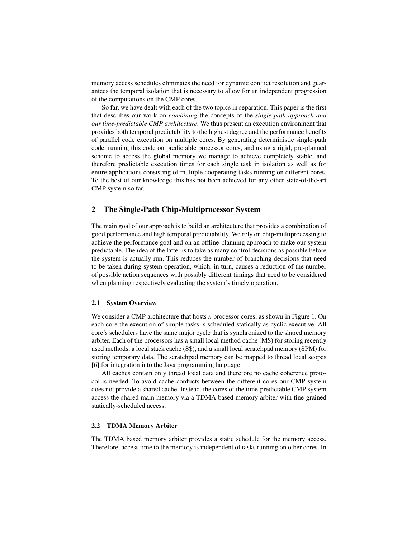memory access schedules eliminates the need for dynamic conflict resolution and guarantees the temporal isolation that is necessary to allow for an independent progression of the computations on the CMP cores.

So far, we have dealt with each of the two topics in separation. This paper is the first that describes our work on *combining* the concepts of the *single-path approach and our time-predictable CMP architecture*. We thus present an execution environment that provides both temporal predictability to the highest degree and the performance benefits of parallel code execution on multiple cores. By generating deterministic single-path code, running this code on predictable processor cores, and using a rigid, pre-planned scheme to access the global memory we manage to achieve completely stable, and therefore predictable execution times for each single task in isolation as well as for entire applications consisting of multiple cooperating tasks running on different cores. To the best of our knowledge this has not been achieved for any other state-of-the-art CMP system so far.

### 2 The Single-Path Chip-Multiprocessor System

The main goal of our approach is to build an architecture that provides a combination of good performance and high temporal predictability. We rely on chip-multiprocessing to achieve the performance goal and on an offline-planning approach to make our system predictable. The idea of the latter is to take as many control decisions as possible before the system is actually run. This reduces the number of branching decisions that need to be taken during system operation, which, in turn, causes a reduction of the number of possible action sequences with possibly different timings that need to be considered when planning respectively evaluating the system's timely operation.

#### 2.1 System Overview

We consider a CMP architecture that hosts *n* processor cores, as shown in Figure 1. On each core the execution of simple tasks is scheduled statically as cyclic executive. All core's schedulers have the same major cycle that is synchronized to the shared memory arbiter. Each of the processors has a small local method cache (M\$) for storing recently used methods, a local stack cache (S\$), and a small local scratchpad memory (SPM) for storing temporary data. The scratchpad memory can be mapped to thread local scopes [6] for integration into the Java programming language.

All caches contain only thread local data and therefore no cache coherence protocol is needed. To avoid cache conflicts between the different cores our CMP system does not provide a shared cache. Instead, the cores of the time-predictable CMP system access the shared main memory via a TDMA based memory arbiter with fine-grained statically-scheduled access.

#### 2.2 TDMA Memory Arbiter

The TDMA based memory arbiter provides a static schedule for the memory access. Therefore, access time to the memory is independent of tasks running on other cores. In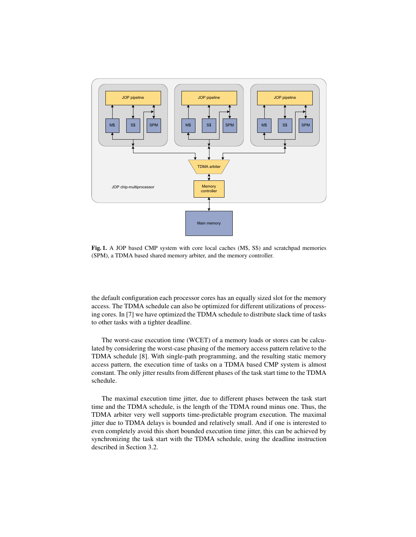

Fig. 1. A JOP based CMP system with core local caches (M\$, S\$) and scratchpad memories (SPM), a TDMA based shared memory arbiter, and the memory controller.

the default configuration each processor cores has an equally sized slot for the memory access. The TDMA schedule can also be optimized for different utilizations of processing cores. In [7] we have optimized the TDMA schedule to distribute slack time of tasks to other tasks with a tighter deadline.

The worst-case execution time (WCET) of a memory loads or stores can be calculated by considering the worst-case phasing of the memory access pattern relative to the TDMA schedule [8]. With single-path programming, and the resulting static memory access pattern, the execution time of tasks on a TDMA based CMP system is almost constant. The only jitter results from different phases of the task start time to the TDMA schedule.

The maximal execution time jitter, due to different phases between the task start time and the TDMA schedule, is the length of the TDMA round minus one. Thus, the TDMA arbiter very well supports time-predictable program execution. The maximal jitter due to TDMA delays is bounded and relatively small. And if one is interested to even completely avoid this short bounded execution time jitter, this can be achieved by synchronizing the task start with the TDMA schedule, using the deadline instruction described in Section 3.2.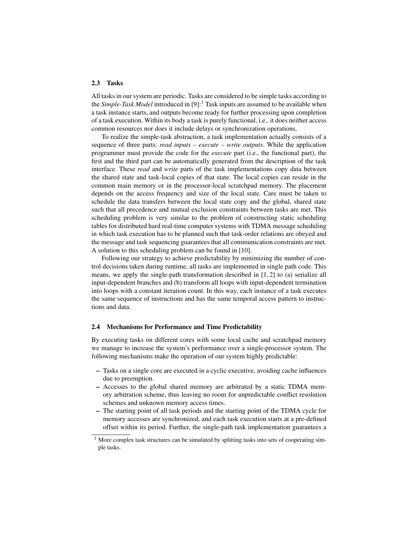#### 2.3 Tasks

All tasks in our system are periodic. Tasks are considered to be simple tasks according to the *Simple-Task Model* introduced in [9]:<sup>1</sup> Task inputs are assumed to be available when a task instance starts, and outputs become ready for further processing upon completion of a task execution. Within its body a task is purely functional, i.e., it does neither access common resources nor does it include delays or synchronization operations.

To realize the simple-task abstraction, a task implementation actually consists of a sequence of three parts: *read inputs – execute – write outputs*. While the application programmer must provide the code for the *execute* part (i.e., the functional part), the first and the third part can be automatically generated from the description of the task interface. These *read* and *write* parts of the task implementations copy data between the shared state and task-local copies of that state. The local copies can reside in the common main memory or in the processor-local scratchpad memory. The placement depends on the access frequency and size of the local state. Care must be taken to schedule the data transfers between the local state copy and the global, shared state such that all precedence and mutual exclusion constraints between tasks are met. This scheduling problem is very similar to the problem of constructing static scheduling tables for distributed hard real-time computer systems with TDMA message scheduling in which task execution has to be planned such that task-order relations are obeyed and the message and task sequencing guarantees that all communication constraints are met. A solution to this scheduling problem can be found in [10].

Following our strategy to achieve predictability by minimizing the number of control decisions taken during runtime, all tasks are implemented in single path code. This means, we apply the single-path transformation described in [1, 2] to (a) serialize all input-dependent branches and (b) transform all loops with input-dependent termination into loops with a constant iteration count. In this way, each instance of a task executes the same sequence of instructions and has the same temporal access pattern to instructions and data.

#### 2.4 Mechanisms for Performance and Time Predictability

By executing tasks on different cores with some local cache and scratchpad memory we manage to increase the system's performance over a single-processor system. The following mechanisms make the operation of our system highly predictable:

- Tasks on a single core are executed in a cyclic executive, avoiding cache influences due to preemption.
- Accesses to the global shared memory are arbitrated by a static TDMA memory arbitration scheme, thus leaving no room for unpredictable conflict resolution schemes and unknown memory access times.
- The starting point of all task periods and the starting point of the TDMA cycle for memory accesses are synchronized, and each task execution starts at a pre-defined offset within its period. Further, the single-path task implementation guarantees a

<sup>&</sup>lt;sup>1</sup> More complex task structures can be simulated by splitting tasks into sets of cooperating simple tasks.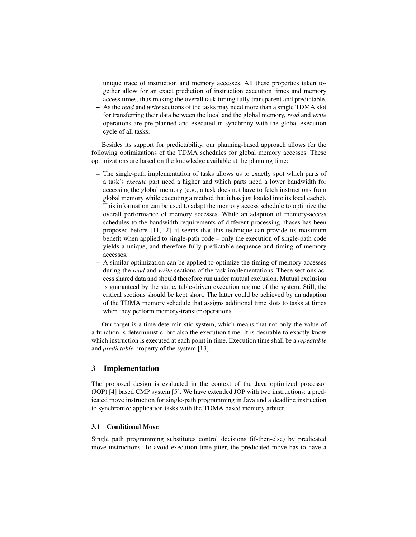unique trace of instruction and memory accesses. All these properties taken together allow for an exact prediction of instruction execution times and memory access times, thus making the overall task timing fully transparent and predictable.

– As the *read* and *write* sections of the tasks may need more than a single TDMA slot for transferring their data between the local and the global memory, *read* and *write* operations are pre-planned and executed in synchrony with the global execution cycle of all tasks.

Besides its support for predictability, our planning-based approach allows for the following optimizations of the TDMA schedules for global memory accesses. These optimizations are based on the knowledge available at the planning time:

- The single-path implementation of tasks allows us to exactly spot which parts of a task's *execute* part need a higher and which parts need a lower bandwidth for accessing the global memory (e.g., a task does not have to fetch instructions from global memory while executing a method that it has just loaded into its local cache). This information can be used to adapt the memory access schedule to optimize the overall performance of memory accesses. While an adaption of memory-access schedules to the bandwidth requirements of different processing phases has been proposed before [11, 12], it seems that this technique can provide its maximum benefit when applied to single-path code – only the execution of single-path code yields a unique, and therefore fully predictable sequence and timing of memory accesses.
- A similar optimization can be applied to optimize the timing of memory accesses during the *read* and *write* sections of the task implementations. These sections access shared data and should therefore run under mutual exclusion. Mutual exclusion is guaranteed by the static, table-driven execution regime of the system. Still, the critical sections should be kept short. The latter could be achieved by an adaption of the TDMA memory schedule that assigns additional time slots to tasks at times when they perform memory-transfer operations.

Our target is a time-deterministic system, which means that not only the value of a function is deterministic, but also the execution time. It is desirable to exactly know which instruction is executed at each point in time. Execution time shall be a *repeatable* and *predictable* property of the system [13].

## 3 Implementation

The proposed design is evaluated in the context of the Java optimized processor (JOP) [4] based CMP system [5]. We have extended JOP with two instructions: a predicated move instruction for single-path programming in Java and a deadline instruction to synchronize application tasks with the TDMA based memory arbiter.

#### 3.1 Conditional Move

Single path programming substitutes control decisions (if-then-else) by predicated move instructions. To avoid execution time jitter, the predicated move has to have a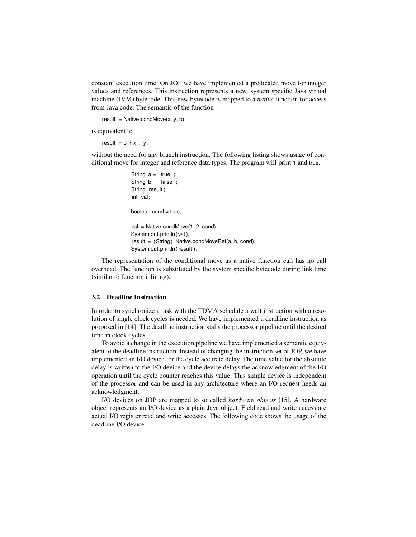constant execution time. On JOP we have implemented a predicated move for integer values and references. This instruction represents a new, system specific Java virtual machine (JVM) bytecode. This new bytecode is mapped to a *native* function for access from Java code. The semantic of the function

 $result = Native.condMove(x, y, b);$ 

is equivalent to

result =  $b$  ?  $x : y$ ;

without the need for any branch instruction. The following listing shows usage of conditional move for integer and reference data types. The program will print 1 and true.

> String  $a = "true";$ String  $b = "false";$ String result; int val; boolean cond = true;

val = Native.condMove(1, 2, cond); System.out.println ( val );  $result = (String)$  Native.condMoveRef(a, b, cond); System.out.println ( result );

The representation of the conditional move as a native function call has no call overhead. The function is substituted by the system specific bytecode during link time (similar to function inlining).

#### 3.2 Deadline Instruction

In order to synchronize a task with the TDMA schedule a wait instruction with a resolution of single clock cycles is needed. We have implemented a deadline instruction as proposed in [14]. The deadline instruction stalls the processor pipeline until the desired time in clock cycles.

To avoid a change in the execution pipeline we have implemented a semantic equivalent to the deadline instruction. Instead of changing the instruction set of JOP, we have implemented an I/O device for the cycle accurate delay. The time value for the absolute delay is written to the I/O device and the device delays the acknowledgment of the I/O operation until the cycle counter reaches this value. This simple device is independent of the processor and can be used in any architecture where an I/O request needs an acknowledgment.

I/O devices on JOP are mapped to so called *hardware objects* [15]. A hardware object represents an I/O device as a plain Java object. Field read and write access are actual I/O register read and write accesses. The following code shows the usage of the deadline I/O device.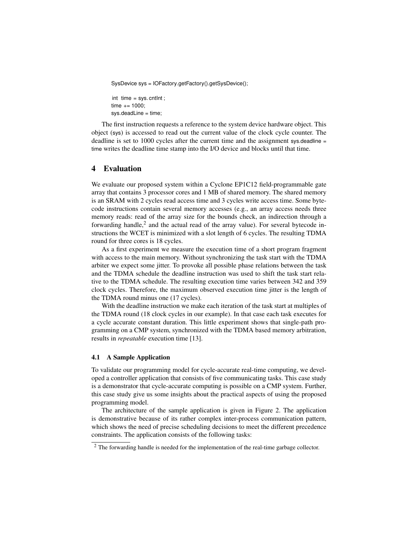SysDevice sys = IOFactory.getFactory().getSysDevice();

int time  $=$  sys. cntlnt;  $time += 1000$ ; sys.deadLine = time;

The first instruction requests a reference to the system device hardware object. This object (sys) is accessed to read out the current value of the clock cycle counter. The deadline is set to 1000 cycles after the current time and the assignment sys.deadline = time writes the deadline time stamp into the I/O device and blocks until that time.

# 4 Evaluation

We evaluate our proposed system within a Cyclone EP1C12 field-programmable gate array that contains 3 processor cores and 1 MB of shared memory. The shared memory is an SRAM with 2 cycles read access time and 3 cycles write access time. Some bytecode instructions contain several memory accesses (e.g., an array access needs three memory reads: read of the array size for the bounds check, an indirection through a forwarding handle,<sup>2</sup> and the actual read of the array value). For several bytecode instructions the WCET is minimized with a slot length of 6 cycles. The resulting TDMA round for three cores is 18 cycles.

As a first experiment we measure the execution time of a short program fragment with access to the main memory. Without synchronizing the task start with the TDMA arbiter we expect some jitter. To provoke all possible phase relations between the task and the TDMA schedule the deadline instruction was used to shift the task start relative to the TDMA schedule. The resulting execution time varies between 342 and 359 clock cycles. Therefore, the maximum observed execution time jitter is the length of the TDMA round minus one (17 cycles).

With the deadline instruction we make each iteration of the task start at multiples of the TDMA round (18 clock cycles in our example). In that case each task executes for a cycle accurate constant duration. This little experiment shows that single-path programming on a CMP system, synchronized with the TDMA based memory arbitration, results in *repeatable* execution time [13].

#### 4.1 A Sample Application

To validate our programming model for cycle-accurate real-time computing, we developed a controller application that consists of five communicating tasks. This case study is a demonstrator that cycle-accurate computing is possible on a CMP system. Further, this case study give us some insights about the practical aspects of using the proposed programming model.

The architecture of the sample application is given in Figure 2. The application is demonstrative because of its rather complex inter-process communication pattern, which shows the need of precise scheduling decisions to meet the different precedence constraints. The application consists of the following tasks:

<sup>&</sup>lt;sup>2</sup> The forwarding handle is needed for the implementation of the real-time garbage collector.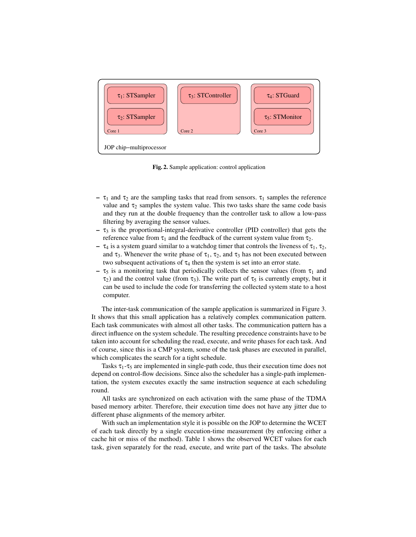

Fig. 2. Sample application: control application

- $τ_1$  and  $τ_2$  are the sampling tasks that read from sensors.  $τ_1$  samples the reference value and  $\tau_2$  samples the system value. This two tasks share the same code basis and they run at the double frequency than the controller task to allow a low-pass filtering by averaging the sensor values.
- $-\tau_3$  is the proportional-integral-derivative controller (PID controller) that gets the reference value from  $\tau_1$  and the feedback of the current system value from  $\tau_2$ .
- $\tau_4$  is a system guard similar to a watchdog timer that controls the liveness of  $\tau_1$ ,  $\tau_2$ , and  $\tau_3$ . Whenever the write phase of  $\tau_1$ ,  $\tau_2$ , and  $\tau_3$  has not been executed between two subsequent activations of  $\tau_4$  then the system is set into an error state.
- $-$  τ<sub>5</sub> is a monitoring task that periodically collects the sensor values (from  $\tau_1$  and  $\tau_2$ ) and the control value (from  $\tau_3$ ). The write part of  $\tau_5$  is currently empty, but it can be used to include the code for transferring the collected system state to a host computer.

The inter-task communication of the sample application is summarized in Figure 3. It shows that this small application has a relatively complex communication pattern. Each task communicates with almost all other tasks. The communication pattern has a direct influence on the system schedule. The resulting precedence constraints have to be taken into account for scheduling the read, execute, and write phases for each task. And of course, since this is a CMP system, some of the task phases are executed in parallel, which complicates the search for a tight schedule.

Tasks  $\tau_1$ - $\tau_5$  are implemented in single-path code, thus their execution time does not depend on control-flow decisions. Since also the scheduler has a single-path implementation, the system executes exactly the same instruction sequence at each scheduling round.

All tasks are synchronized on each activation with the same phase of the TDMA based memory arbiter. Therefore, their execution time does not have any jitter due to different phase alignments of the memory arbiter.

With such an implementation style it is possible on the JOP to determine the WCET of each task directly by a single execution-time measurement (by enforcing either a cache hit or miss of the method). Table 1 shows the observed WCET values for each task, given separately for the read, execute, and write part of the tasks. The absolute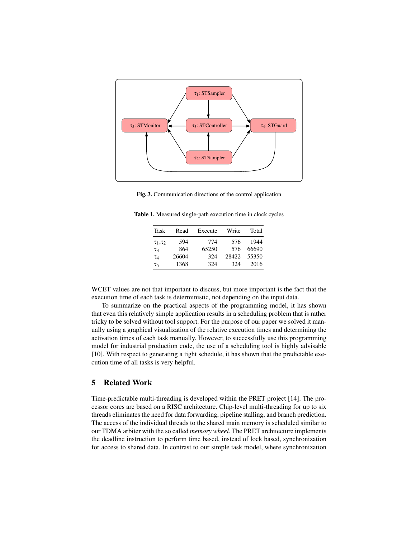

Fig. 3. Communication directions of the control application

Table 1. Measured single-path execution time in clock cycles

| Task             | Read  | Execute | Write | Total |
|------------------|-------|---------|-------|-------|
| $\tau_1, \tau_2$ | 594   | 774     | 576   | 1944  |
| $\tau_3$         | 864   | 65250   | 576   | 66690 |
| $\tau_4$         | 26604 | 324     | 28422 | 55350 |
| τς               | 1368  | 324     | 324   | 2016  |

WCET values are not that important to discuss, but more important is the fact that the execution time of each task is deterministic, not depending on the input data.

To summarize on the practical aspects of the programming model, it has shown that even this relatively simple application results in a scheduling problem that is rather tricky to be solved without tool support. For the purpose of our paper we solved it manually using a graphical visualization of the relative execution times and determining the activation times of each task manually. However, to successfully use this programming model for industrial production code, the use of a scheduling tool is highly advisable [10]. With respect to generating a tight schedule, it has shown that the predictable execution time of all tasks is very helpful.

### 5 Related Work

Time-predictable multi-threading is developed within the PRET project [14]. The processor cores are based on a RISC architecture. Chip-level multi-threading for up to six threads eliminates the need for data forwarding, pipeline stalling, and branch prediction. The access of the individual threads to the shared main memory is scheduled similar to our TDMA arbiter with the so called *memory wheel*. The PRET architecture implements the deadline instruction to perform time based, instead of lock based, synchronization for access to shared data. In contrast to our simple task model, where synchronization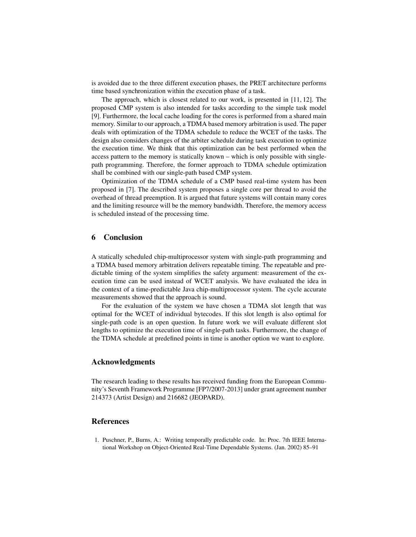is avoided due to the three different execution phases, the PRET architecture performs time based synchronization within the execution phase of a task.

The approach, which is closest related to our work, is presented in [11, 12]. The proposed CMP system is also intended for tasks according to the simple task model [9]. Furthermore, the local cache loading for the cores is performed from a shared main memory. Similar to our approach, a TDMA based memory arbitration is used. The paper deals with optimization of the TDMA schedule to reduce the WCET of the tasks. The design also considers changes of the arbiter schedule during task execution to optimize the execution time. We think that this optimization can be best performed when the access pattern to the memory is statically known – which is only possible with singlepath programming. Therefore, the former approach to TDMA schedule optimization shall be combined with our single-path based CMP system.

Optimization of the TDMA schedule of a CMP based real-time system has been proposed in [7]. The described system proposes a single core per thread to avoid the overhead of thread preemption. It is argued that future systems will contain many cores and the limiting resource will be the memory bandwidth. Therefore, the memory access is scheduled instead of the processing time.

#### 6 Conclusion

A statically scheduled chip-multiprocessor system with single-path programming and a TDMA based memory arbitration delivers repeatable timing. The repeatable and predictable timing of the system simplifies the safety argument: measurement of the execution time can be used instead of WCET analysis. We have evaluated the idea in the context of a time-predictable Java chip-multiprocessor system. The cycle accurate measurements showed that the approach is sound.

For the evaluation of the system we have chosen a TDMA slot length that was optimal for the WCET of individual bytecodes. If this slot length is also optimal for single-path code is an open question. In future work we will evaluate different slot lengths to optimize the execution time of single-path tasks. Furthermore, the change of the TDMA schedule at predefined points in time is another option we want to explore.

### Acknowledgments

The research leading to these results has received funding from the European Community's Seventh Framework Programme [FP7/2007-2013] under grant agreement number 214373 (Artist Design) and 216682 (JEOPARD).

## References

1. Puschner, P., Burns, A.: Writing temporally predictable code. In: Proc. 7th IEEE International Workshop on Object-Oriented Real-Time Dependable Systems. (Jan. 2002) 85–91